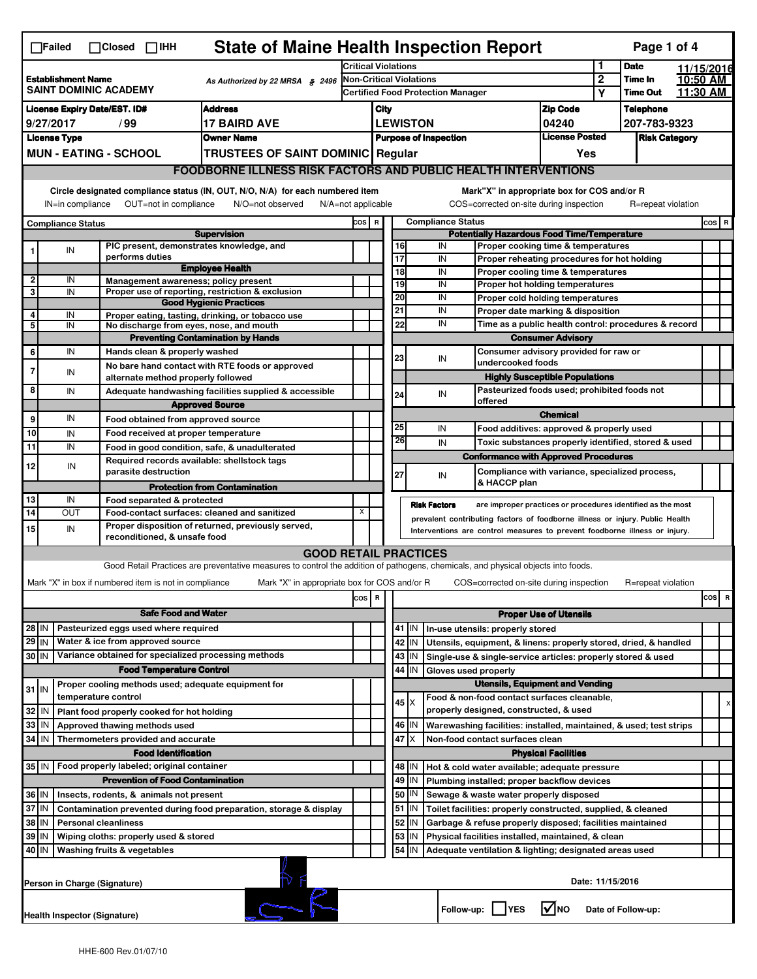|                                                                                                                                                          | <b>State of Maine Health Inspection Report</b><br>Page 1 of 4<br>$\Box$ Failed<br>$\Box$ Closed $\Box$ iHH |                                                                           |                                                                                                                                   |         |                                                                                         |                                                                            |                 |                     |                                   |                                                                              |                               |            |                      |         |          |
|----------------------------------------------------------------------------------------------------------------------------------------------------------|------------------------------------------------------------------------------------------------------------|---------------------------------------------------------------------------|-----------------------------------------------------------------------------------------------------------------------------------|---------|-----------------------------------------------------------------------------------------|----------------------------------------------------------------------------|-----------------|---------------------|-----------------------------------|------------------------------------------------------------------------------|-------------------------------|------------|----------------------|---------|----------|
| <b>Establishment Name</b><br>As Authorized by 22 MRSA § 2496                                                                                             |                                                                                                            |                                                                           | <b>Critical Violations</b>                                                                                                        |         |                                                                                         |                                                                            |                 |                     | 1<br><b>Date</b>                  |                                                                              |                               | 11/15/2016 |                      |         |          |
|                                                                                                                                                          |                                                                                                            |                                                                           |                                                                                                                                   |         | <b>Non-Critical Violations</b>                                                          |                                                                            |                 |                     | $\mathbf{2}$                      | Time In                                                                      |                               | 10:50 AM   |                      |         |          |
|                                                                                                                                                          | <b>SAINT DOMINIC ACADEMY</b>                                                                               |                                                                           |                                                                                                                                   |         |                                                                                         |                                                                            |                 |                     | Certified Food Protection Manager |                                                                              |                               | Y          | <b>Time Out</b>      |         | 11:30 AM |
|                                                                                                                                                          | <b>Address</b><br><b>License Expiry Date/EST. ID#</b>                                                      |                                                                           |                                                                                                                                   |         |                                                                                         | City                                                                       |                 |                     |                                   |                                                                              | <b>Zip Code</b>               |            | <b>Telephone</b>     |         |          |
|                                                                                                                                                          | 9/27/2017<br><b>17 BAIRD AVE</b><br>/ 99                                                                   |                                                                           |                                                                                                                                   |         | <b>LEWISTON</b>                                                                         |                                                                            |                 |                     |                                   |                                                                              | 04240                         |            | 207-783-9323         |         |          |
|                                                                                                                                                          | <b>License Type</b>                                                                                        |                                                                           | <b>Owner Name</b>                                                                                                                 |         | <b>Purpose of Inspection</b>                                                            |                                                                            |                 |                     |                                   |                                                                              | <b>License Posted</b>         |            | <b>Risk Category</b> |         |          |
|                                                                                                                                                          |                                                                                                            | <b>MUN - EATING - SCHOOL</b>                                              | <b>TRUSTEES OF SAINT DOMINIC Regular</b>                                                                                          |         |                                                                                         |                                                                            |                 |                     |                                   |                                                                              | Yes                           |            |                      |         |          |
|                                                                                                                                                          |                                                                                                            |                                                                           | <b>FOODBORNE ILLNESS RISK FACTORS AND PUBLIC HEALTH INTERVENTIONS</b>                                                             |         |                                                                                         |                                                                            |                 |                     |                                   |                                                                              |                               |            |                      |         |          |
| Circle designated compliance status (IN, OUT, N/O, N/A) for each numbered item<br>Mark"X" in appropriate box for COS and/or R                            |                                                                                                            |                                                                           |                                                                                                                                   |         |                                                                                         |                                                                            |                 |                     |                                   |                                                                              |                               |            |                      |         |          |
| OUT=not in compliance<br>COS=corrected on-site during inspection<br>IN=in compliance<br>N/O=not observed<br>$N/A = not$ applicable<br>R=repeat violation |                                                                                                            |                                                                           |                                                                                                                                   |         |                                                                                         |                                                                            |                 |                     |                                   |                                                                              |                               |            |                      |         |          |
|                                                                                                                                                          | <b>Compliance Status</b>                                                                                   |                                                                           |                                                                                                                                   |         | COS R<br><b>Compliance Status</b><br><b>Potentially Hazardous Food Time/Temperature</b> |                                                                            |                 |                     |                                   |                                                                              |                               |            |                      | $cos$ R |          |
|                                                                                                                                                          |                                                                                                            | PIC present, demonstrates knowledge, and                                  | <b>Supervision</b>                                                                                                                |         |                                                                                         |                                                                            | 16              | IN                  |                                   | Proper cooking time & temperatures                                           |                               |            |                      |         |          |
| 1                                                                                                                                                        | IN                                                                                                         | performs duties                                                           |                                                                                                                                   |         |                                                                                         |                                                                            | $\overline{17}$ | IN                  |                                   | Proper reheating procedures for hot holding                                  |                               |            |                      |         |          |
|                                                                                                                                                          |                                                                                                            |                                                                           | <b>Employee Health</b>                                                                                                            |         |                                                                                         |                                                                            | 18              | IN                  |                                   | Proper cooling time & temperatures                                           |                               |            |                      |         |          |
| $\overline{2}$<br>3                                                                                                                                      | IN<br>IN                                                                                                   | Management awareness; policy present                                      | Proper use of reporting, restriction & exclusion                                                                                  |         |                                                                                         |                                                                            | 19              | IN                  |                                   | Proper hot holding temperatures                                              |                               |            |                      |         |          |
|                                                                                                                                                          |                                                                                                            |                                                                           | <b>Good Hygienic Practices</b>                                                                                                    |         |                                                                                         |                                                                            | 20              | IN                  |                                   | Proper cold holding temperatures                                             |                               |            |                      |         |          |
| 4                                                                                                                                                        | IN                                                                                                         |                                                                           | Proper eating, tasting, drinking, or tobacco use                                                                                  |         |                                                                                         |                                                                            | 21              | IN                  |                                   | Proper date marking & disposition                                            |                               |            |                      |         |          |
| 5                                                                                                                                                        | IN                                                                                                         | No discharge from eyes, nose, and mouth                                   |                                                                                                                                   |         |                                                                                         |                                                                            | 22              | IN                  |                                   | Time as a public health control: procedures & record                         |                               |            |                      |         |          |
|                                                                                                                                                          |                                                                                                            |                                                                           | <b>Preventing Contamination by Hands</b>                                                                                          |         |                                                                                         |                                                                            |                 |                     |                                   |                                                                              | <b>Consumer Advisory</b>      |            |                      |         |          |
| 6                                                                                                                                                        | IN                                                                                                         | Hands clean & properly washed                                             |                                                                                                                                   |         |                                                                                         |                                                                            | 23              | IN                  |                                   | Consumer advisory provided for raw or<br>undercooked foods                   |                               |            |                      |         |          |
| 7                                                                                                                                                        | IN                                                                                                         |                                                                           | No bare hand contact with RTE foods or approved                                                                                   |         |                                                                                         |                                                                            |                 |                     |                                   | <b>Highly Susceptible Populations</b>                                        |                               |            |                      |         |          |
| 8                                                                                                                                                        | IN                                                                                                         | alternate method properly followed                                        |                                                                                                                                   |         |                                                                                         |                                                                            |                 |                     |                                   | Pasteurized foods used; prohibited foods not                                 |                               |            |                      |         |          |
|                                                                                                                                                          |                                                                                                            |                                                                           | Adequate handwashing facilities supplied & accessible<br><b>Approved Source</b>                                                   |         |                                                                                         |                                                                            | 24              | IN                  |                                   | offered                                                                      |                               |            |                      |         |          |
| 9                                                                                                                                                        | IN                                                                                                         |                                                                           |                                                                                                                                   |         |                                                                                         |                                                                            |                 |                     |                                   |                                                                              | <b>Chemical</b>               |            |                      |         |          |
| 10                                                                                                                                                       | IN                                                                                                         | Food obtained from approved source<br>Food received at proper temperature |                                                                                                                                   |         |                                                                                         |                                                                            | 25              | IN                  |                                   | Food additives: approved & properly used                                     |                               |            |                      |         |          |
| 11                                                                                                                                                       | IN                                                                                                         |                                                                           | Food in good condition, safe, & unadulterated                                                                                     |         |                                                                                         |                                                                            | 26              | IN                  |                                   | Toxic substances properly identified, stored & used                          |                               |            |                      |         |          |
|                                                                                                                                                          |                                                                                                            | Required records available: shellstock tags                               |                                                                                                                                   |         |                                                                                         |                                                                            |                 |                     |                                   | <b>Conformance with Approved Procedures</b>                                  |                               |            |                      |         |          |
| 12                                                                                                                                                       | IN                                                                                                         | parasite destruction                                                      |                                                                                                                                   |         |                                                                                         |                                                                            | 27              | IN                  |                                   | Compliance with variance, specialized process,                               |                               |            |                      |         |          |
|                                                                                                                                                          |                                                                                                            |                                                                           | <b>Protection from Contamination</b>                                                                                              |         |                                                                                         |                                                                            |                 |                     |                                   | & HACCP plan                                                                 |                               |            |                      |         |          |
| 13                                                                                                                                                       | IN                                                                                                         | Food separated & protected                                                |                                                                                                                                   |         |                                                                                         |                                                                            |                 | <b>Risk Factors</b> |                                   | are improper practices or procedures identified as the most                  |                               |            |                      |         |          |
| 14                                                                                                                                                       | OUT                                                                                                        |                                                                           | Food-contact surfaces: cleaned and sanitized                                                                                      | X       |                                                                                         |                                                                            |                 |                     |                                   | prevalent contributing factors of foodborne illness or injury. Public Health |                               |            |                      |         |          |
| 15                                                                                                                                                       | IN                                                                                                         | reconditioned, & unsafe food                                              | Proper disposition of returned, previously served,                                                                                |         |                                                                                         | Interventions are control measures to prevent foodborne illness or injury. |                 |                     |                                   |                                                                              |                               |            |                      |         |          |
|                                                                                                                                                          |                                                                                                            |                                                                           | <b>GOOD RETAIL PRACTICES</b>                                                                                                      |         |                                                                                         |                                                                            |                 |                     |                                   |                                                                              |                               |            |                      |         |          |
|                                                                                                                                                          |                                                                                                            |                                                                           | Good Retail Practices are preventative measures to control the addition of pathogens, chemicals, and physical objects into foods. |         |                                                                                         |                                                                            |                 |                     |                                   |                                                                              |                               |            |                      |         |          |
|                                                                                                                                                          |                                                                                                            | Mark "X" in box if numbered item is not in compliance                     | Mark "X" in appropriate box for COS and/or R                                                                                      |         |                                                                                         |                                                                            |                 |                     |                                   | COS=corrected on-site during inspection                                      |                               |            | R=repeat violation   |         |          |
|                                                                                                                                                          |                                                                                                            |                                                                           |                                                                                                                                   | cos   R |                                                                                         |                                                                            |                 |                     |                                   |                                                                              |                               |            |                      |         | $cos$ R  |
|                                                                                                                                                          |                                                                                                            | <b>Safe Food and Water</b>                                                |                                                                                                                                   |         |                                                                                         |                                                                            |                 |                     |                                   |                                                                              | <b>Proper Use of Utensils</b> |            |                      |         |          |
|                                                                                                                                                          | Pasteurized eggs used where required<br>28 IN                                                              |                                                                           |                                                                                                                                   |         |                                                                                         |                                                                            | 41<br>IN.       |                     |                                   | In-use utensils: properly stored                                             |                               |            |                      |         |          |
| $29$ IN                                                                                                                                                  |                                                                                                            | Water & ice from approved source                                          |                                                                                                                                   |         |                                                                                         |                                                                            | 42<br>IN        |                     |                                   | Utensils, equipment, & linens: properly stored, dried, & handled             |                               |            |                      |         |          |
| $30$ IN                                                                                                                                                  |                                                                                                            | Variance obtained for specialized processing methods                      |                                                                                                                                   |         |                                                                                         |                                                                            | 43              | IN                  |                                   | Single-use & single-service articles: properly stored & used                 |                               |            |                      |         |          |
|                                                                                                                                                          | <b>Food Temperature Control</b>                                                                            |                                                                           |                                                                                                                                   |         |                                                                                         |                                                                            | 44<br>IN        |                     |                                   | Gloves used properly                                                         |                               |            |                      |         |          |
|                                                                                                                                                          |                                                                                                            | Proper cooling methods used; adequate equipment for                       |                                                                                                                                   |         |                                                                                         | <b>Utensils, Equipment and Vending</b>                                     |                 |                     |                                   |                                                                              |                               |            |                      |         |          |
| $31$ IN                                                                                                                                                  |                                                                                                            | temperature control                                                       |                                                                                                                                   |         |                                                                                         |                                                                            | 45<br>Ix.       |                     |                                   | Food & non-food contact surfaces cleanable,                                  |                               |            |                      |         |          |
| 32                                                                                                                                                       | ١N                                                                                                         | Plant food properly cooked for hot holding                                |                                                                                                                                   |         |                                                                                         |                                                                            |                 |                     |                                   | properly designed, constructed, & used                                       |                               |            |                      |         | х        |
| 33                                                                                                                                                       | IN                                                                                                         | Approved thawing methods used                                             |                                                                                                                                   |         |                                                                                         |                                                                            | 46<br>ΙM        |                     |                                   | Warewashing facilities: installed, maintained, & used; test strips           |                               |            |                      |         |          |
| $34$ IN                                                                                                                                                  |                                                                                                            | Thermometers provided and accurate                                        |                                                                                                                                   |         |                                                                                         |                                                                            | 47              |                     |                                   | Non-food contact surfaces clean                                              |                               |            |                      |         |          |
|                                                                                                                                                          |                                                                                                            | <b>Food Identification</b>                                                |                                                                                                                                   |         |                                                                                         |                                                                            |                 |                     |                                   |                                                                              | <b>Physical Facilities</b>    |            |                      |         |          |
| 35 IN                                                                                                                                                    |                                                                                                            | Food properly labeled; original container                                 |                                                                                                                                   |         |                                                                                         |                                                                            | 48   IN         |                     |                                   | Hot & cold water available; adequate pressure                                |                               |            |                      |         |          |
|                                                                                                                                                          |                                                                                                            | <b>Prevention of Food Contamination</b>                                   |                                                                                                                                   |         |                                                                                         |                                                                            | 49<br>IN        |                     |                                   | Plumbing installed; proper backflow devices                                  |                               |            |                      |         |          |
| 36 IN                                                                                                                                                    |                                                                                                            | Insects, rodents, & animals not present                                   |                                                                                                                                   |         |                                                                                         |                                                                            | 50   IN         |                     |                                   | Sewage & waste water properly disposed                                       |                               |            |                      |         |          |
| 37 IN                                                                                                                                                    |                                                                                                            |                                                                           | Contamination prevented during food preparation, storage & display                                                                |         |                                                                                         |                                                                            | 51<br>  IN      |                     |                                   | Toilet facilities: properly constructed, supplied, & cleaned                 |                               |            |                      |         |          |
| 38 IN<br><b>Personal cleanliness</b>                                                                                                                     |                                                                                                            |                                                                           |                                                                                                                                   |         |                                                                                         |                                                                            | 52<br>IN        |                     |                                   | Garbage & refuse properly disposed; facilities maintained                    |                               |            |                      |         |          |
| 39                                                                                                                                                       | l IN                                                                                                       | Wiping cloths: properly used & stored                                     |                                                                                                                                   |         |                                                                                         |                                                                            | 53<br>IN        |                     |                                   | Physical facilities installed, maintained, & clean                           |                               |            |                      |         |          |
| 40 IN                                                                                                                                                    |                                                                                                            | Washing fruits & vegetables                                               |                                                                                                                                   |         |                                                                                         |                                                                            | 54<br>IN        |                     |                                   | Adequate ventilation & lighting; designated areas used                       |                               |            |                      |         |          |
| Date: 11/15/2016<br>Person in Charge (Signature)                                                                                                         |                                                                                                            |                                                                           |                                                                                                                                   |         |                                                                                         |                                                                            |                 |                     |                                   |                                                                              |                               |            |                      |         |          |
|                                                                                                                                                          |                                                                                                            | Health Inspector (Signature)                                              |                                                                                                                                   |         |                                                                                         |                                                                            |                 |                     |                                   | Follow-up:     YES                                                           | l√lno                         |            | Date of Follow-up:   |         |          |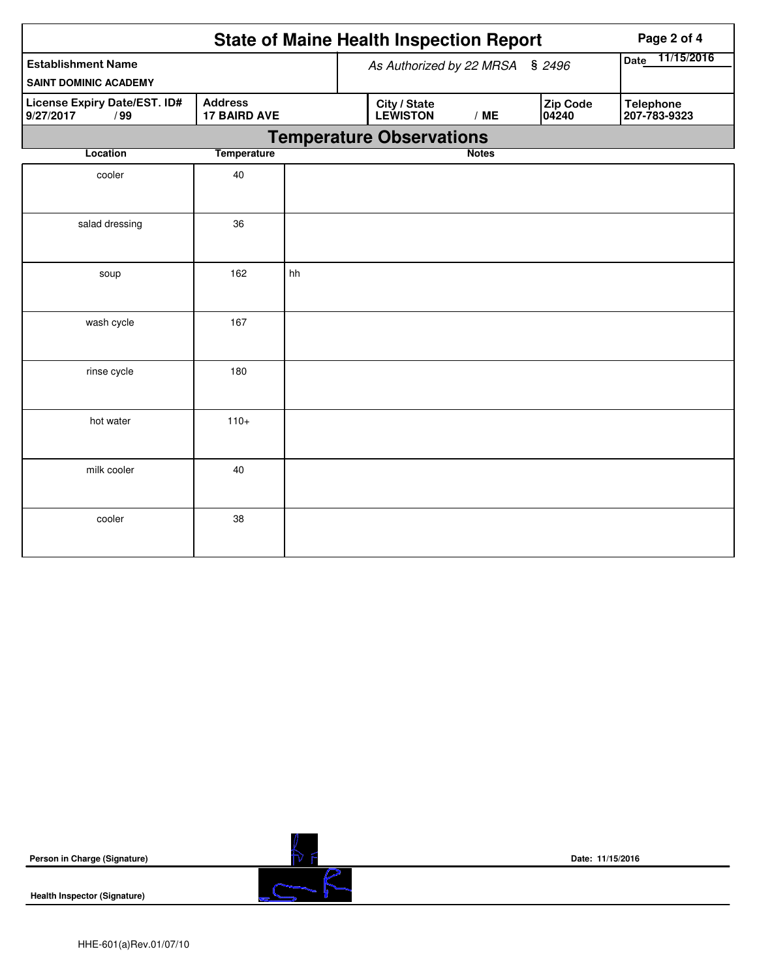|                                                                                           | Page 2 of 4        |                                 |                                 |              |                          |                                  |
|-------------------------------------------------------------------------------------------|--------------------|---------------------------------|---------------------------------|--------------|--------------------------|----------------------------------|
| <b>Establishment Name</b><br><b>SAINT DOMINIC ACADEMY</b>                                 |                    | As Authorized by 22 MRSA § 2496 | 11/15/2016<br>Date              |              |                          |                                  |
| <b>Address</b><br>License Expiry Date/EST. ID#<br>9/27/2017<br><b>17 BAIRD AVE</b><br>/99 |                    |                                 | City / State<br><b>LEWISTON</b> | /ME          | <b>Zip Code</b><br>04240 | <b>Telephone</b><br>207-783-9323 |
|                                                                                           |                    |                                 | <b>Temperature Observations</b> |              |                          |                                  |
| Location                                                                                  | <b>Temperature</b> |                                 |                                 | <b>Notes</b> |                          |                                  |
| cooler                                                                                    | 40                 |                                 |                                 |              |                          |                                  |
| salad dressing                                                                            | 36                 |                                 |                                 |              |                          |                                  |
| soup                                                                                      | 162                | hh                              |                                 |              |                          |                                  |
| wash cycle                                                                                | 167                |                                 |                                 |              |                          |                                  |
| rinse cycle                                                                               | 180                |                                 |                                 |              |                          |                                  |
| hot water                                                                                 | $110+$             |                                 |                                 |              |                          |                                  |
| milk cooler                                                                               | 40                 |                                 |                                 |              |                          |                                  |
| cooler                                                                                    | 38                 |                                 |                                 |              |                          |                                  |

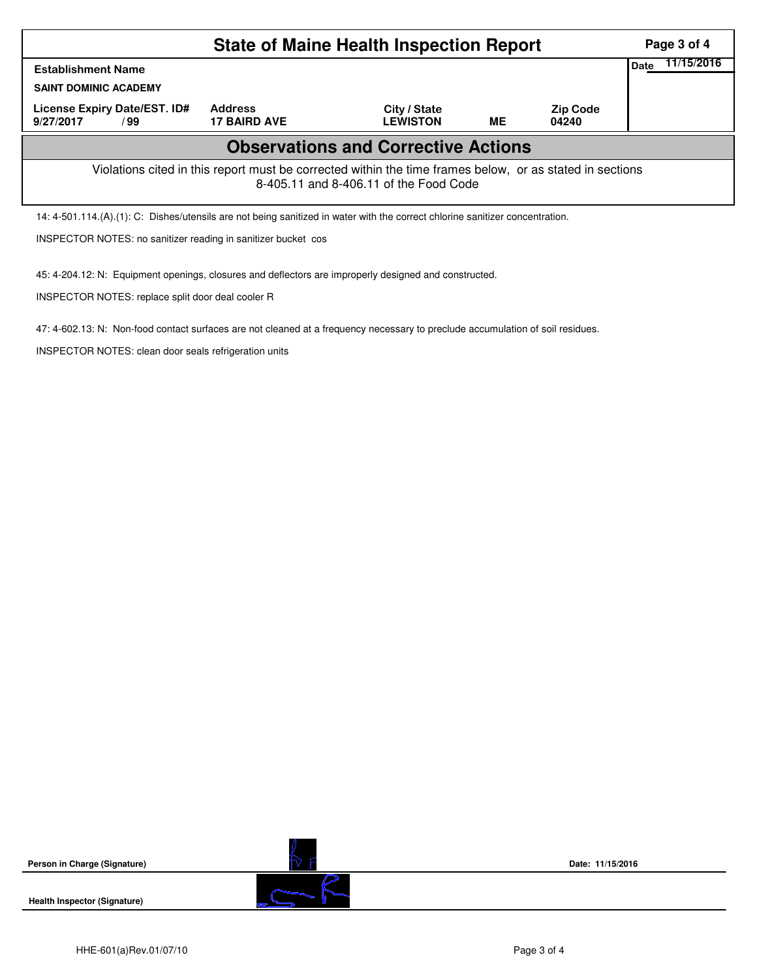|                                                                                                                                                    | Page 3 of 4                           |                                 |    |                          |                    |  |  |  |  |
|----------------------------------------------------------------------------------------------------------------------------------------------------|---------------------------------------|---------------------------------|----|--------------------------|--------------------|--|--|--|--|
| <b>Establishment Name</b>                                                                                                                          |                                       |                                 |    |                          | 11/15/2016<br>Date |  |  |  |  |
| <b>SAINT DOMINIC ACADEMY</b>                                                                                                                       |                                       |                                 |    |                          |                    |  |  |  |  |
| License Expiry Date/EST. ID#<br>9/27/2017<br>/ 99                                                                                                  | <b>Address</b><br><b>17 BAIRD AVE</b> | City / State<br><b>LEWISTON</b> | ME | <b>Zip Code</b><br>04240 |                    |  |  |  |  |
| <b>Observations and Corrective Actions</b>                                                                                                         |                                       |                                 |    |                          |                    |  |  |  |  |
| Violations cited in this report must be corrected within the time frames below, or as stated in sections<br>8-405.11 and 8-406.11 of the Food Code |                                       |                                 |    |                          |                    |  |  |  |  |
| 14: 4-501.114.(A).(1): C: Dishes/utensils are not being sanitized in water with the correct chlorine sanitizer concentration.                      |                                       |                                 |    |                          |                    |  |  |  |  |
| <b>INSPECTOR NOTES: no sanitizer reading in sanitizer bucket cos</b>                                                                               |                                       |                                 |    |                          |                    |  |  |  |  |

45: 4-204.12: N: Equipment openings, closures and deflectors are improperly designed and constructed.

INSPECTOR NOTES: replace split door deal cooler R

47: 4-602.13: N: Non-food contact surfaces are not cleaned at a frequency necessary to preclude accumulation of soil residues.

INSPECTOR NOTES: clean door seals refrigeration units